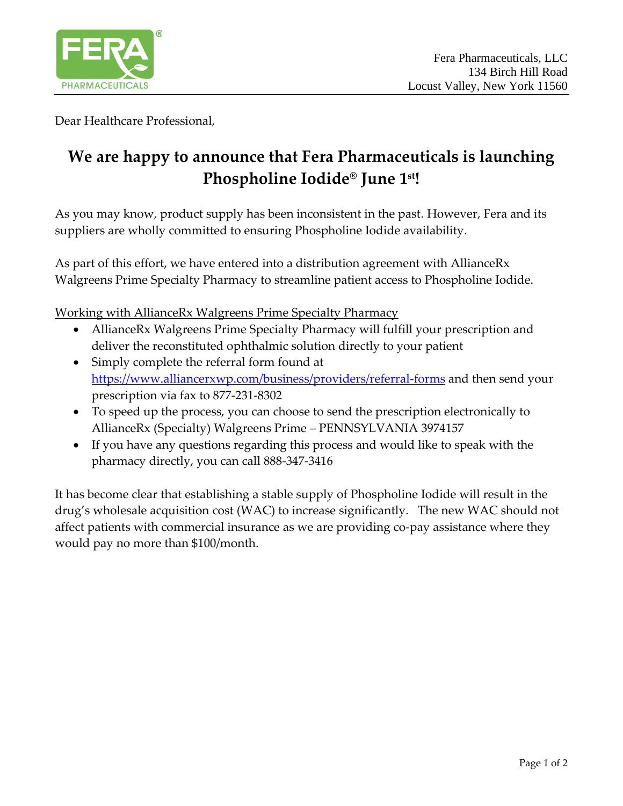

Dear Healthcare Professional,

## **We are happy to announce that Fera Pharmaceuticals is launching Phospholine Iodide® June 1st!**

As you may know, product supply has been inconsistent in the past. However, Fera and its suppliers are wholly committed to ensuring Phospholine Iodide availability.

As part of this effort, we have entered into a distribution agreement with AllianceRx Walgreens Prime Specialty Pharmacy to streamline patient access to Phospholine Iodide.

Working with AllianceRx Walgreens Prime Specialty Pharmacy

- AllianceRx Walgreens Prime Specialty Pharmacy will fulfill your prescription and deliver the reconstituted ophthalmic solution directly to your patient
- Simply complete the referral form found at <https://www.alliancerxwp.com/business/providers/referral-forms> and then send your prescription via fax to 877-231-8302
- To speed up the process, you can choose to send the prescription electronically to AllianceRx (Specialty) Walgreens Prime – PENNSYLVANIA 3974157
- If you have any questions regarding this process and would like to speak with the pharmacy directly, you can call 888-347-3416

It has become clear that establishing a stable supply of Phospholine Iodide will result in the drug's wholesale acquisition cost (WAC) to increase significantly. The new WAC should not affect patients with commercial insurance as we are providing co-pay assistance where they would pay no more than \$100/month.